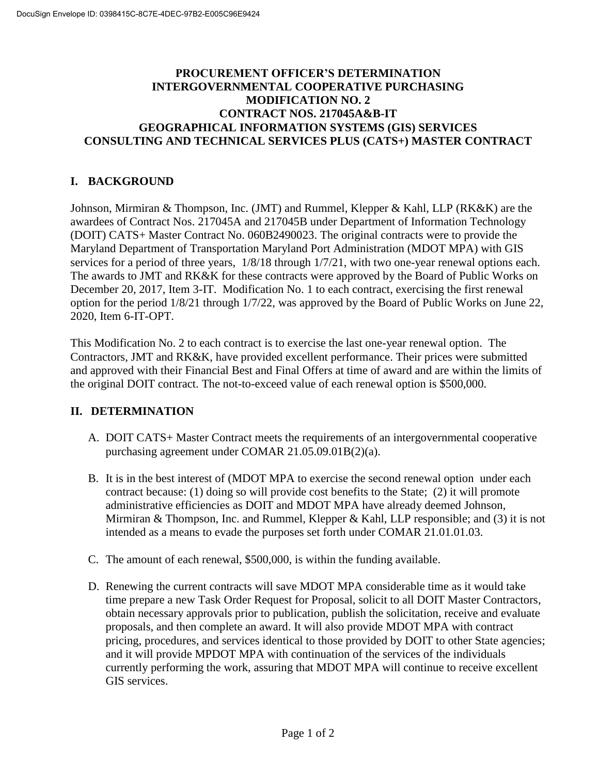## **PROCUREMENT OFFICER'S DETERMINATION INTERGOVERNMENTAL COOPERATIVE PURCHASING MODIFICATION NO. 2 CONTRACT NOS. 217045A&B-IT GEOGRAPHICAL INFORMATION SYSTEMS (GIS) SERVICES CONSULTING AND TECHNICAL SERVICES PLUS (CATS+) MASTER CONTRACT**

## **I. BACKGROUND**

Johnson, Mirmiran & Thompson, Inc. (JMT) and Rummel, Klepper & Kahl, LLP (RK&K) are the awardees of Contract Nos. 217045A and 217045B under Department of Information Technology (DOIT) CATS+ Master Contract No. 060B2490023. The original contracts were to provide the Maryland Department of Transportation Maryland Port Administration (MDOT MPA) with GIS services for a period of three years, 1/8/18 through 1/7/21, with two one-year renewal options each. The awards to JMT and RK&K for these contracts were approved by the Board of Public Works on December 20, 2017, Item 3-IT. Modification No. 1 to each contract, exercising the first renewal option for the period 1/8/21 through 1/7/22, was approved by the Board of Public Works on June 22, 2020, Item 6-IT-OPT.

This Modification No. 2 to each contract is to exercise the last one-year renewal option. The Contractors, JMT and RK&K, have provided excellent performance. Their prices were submitted and approved with their Financial Best and Final Offers at time of award and are within the limits of the original DOIT contract. The not-to-exceed value of each renewal option is \$500,000.

## **II. DETERMINATION**

- A. DOIT CATS+ Master Contract meets the requirements of an intergovernmental cooperative purchasing agreement under COMAR 21.05.09.01B(2)(a).
- B. It is in the best interest of (MDOT MPA to exercise the second renewal option under each contract because: (1) doing so will provide cost benefits to the State; (2) it will promote administrative efficiencies as DOIT and MDOT MPA have already deemed Johnson, Mirmiran & Thompson, Inc. and Rummel, Klepper & Kahl, LLP responsible; and (3) it is not intended as a means to evade the purposes set forth under COMAR 21.01.01.03.
- C. The amount of each renewal, \$500,000, is within the funding available.
- D. Renewing the current contracts will save MDOT MPA considerable time as it would take time prepare a new Task Order Request for Proposal, solicit to all DOIT Master Contractors, obtain necessary approvals prior to publication, publish the solicitation, receive and evaluate proposals, and then complete an award. It will also provide MDOT MPA with contract pricing, procedures, and services identical to those provided by DOIT to other State agencies; and it will provide MPDOT MPA with continuation of the services of the individuals currently performing the work, assuring that MDOT MPA will continue to receive excellent GIS services.